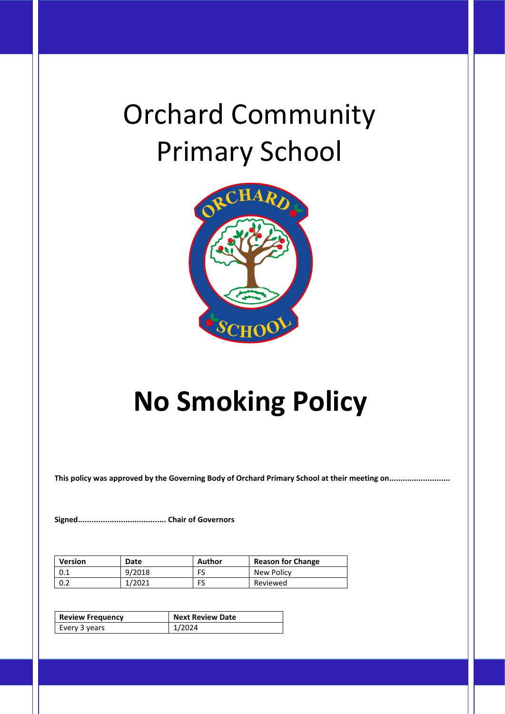# Orchard Community Primary School



## **No Smoking Policy**

**This policy was approved by the Governing Body of Orchard Primary School at their meeting on...........................**

**Signed....................................... Chair of Governors**

| <b>Version</b> | Date   | Author | <b>Reason for Change</b> |
|----------------|--------|--------|--------------------------|
| 0.1            | 9/2018 | FS     | New Policy               |
| 0.2            | 1/2021 | FS     | Reviewed                 |

| <b>Review Frequency</b> | <b>Next Review Date</b> |  |
|-------------------------|-------------------------|--|
| Every 3 years           | 1/2024                  |  |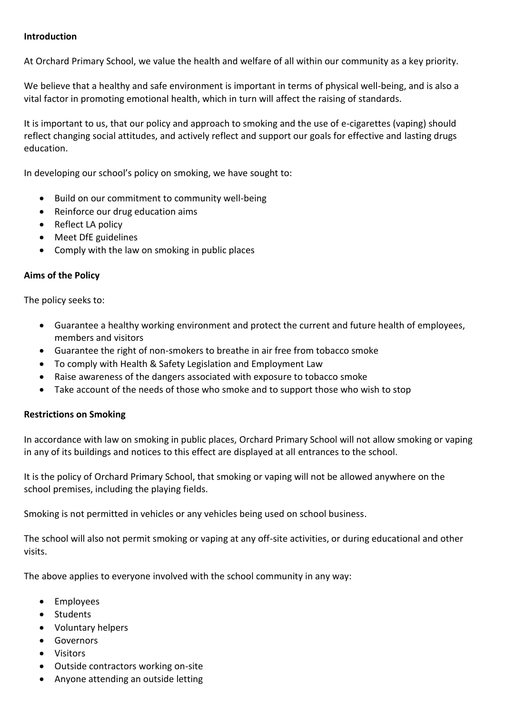#### **Introduction**

At Orchard Primary School, we value the health and welfare of all within our community as a key priority.

We believe that a healthy and safe environment is important in terms of physical well-being, and is also a vital factor in promoting emotional health, which in turn will affect the raising of standards.

It is important to us, that our policy and approach to smoking and the use of e-cigarettes (vaping) should reflect changing social attitudes, and actively reflect and support our goals for effective and lasting drugs education.

In developing our school's policy on smoking, we have sought to:

- Build on our commitment to community well-being
- Reinforce our drug education aims
- Reflect LA policy
- Meet DfE guidelines
- Comply with the law on smoking in public places

#### **Aims of the Policy**

The policy seeks to:

- Guarantee a healthy working environment and protect the current and future health of employees, members and visitors
- Guarantee the right of non-smokers to breathe in air free from tobacco smoke
- To comply with Health & Safety Legislation and Employment Law
- Raise awareness of the dangers associated with exposure to tobacco smoke
- Take account of the needs of those who smoke and to support those who wish to stop

#### **Restrictions on Smoking**

In accordance with law on smoking in public places, Orchard Primary School will not allow smoking or vaping in any of its buildings and notices to this effect are displayed at all entrances to the school.

It is the policy of Orchard Primary School, that smoking or vaping will not be allowed anywhere on the school premises, including the playing fields.

Smoking is not permitted in vehicles or any vehicles being used on school business.

The school will also not permit smoking or vaping at any off-site activities, or during educational and other visits.

The above applies to everyone involved with the school community in any way:

- Employees
- Students
- Voluntary helpers
- Governors
- Visitors
- Outside contractors working on-site
- Anyone attending an outside letting